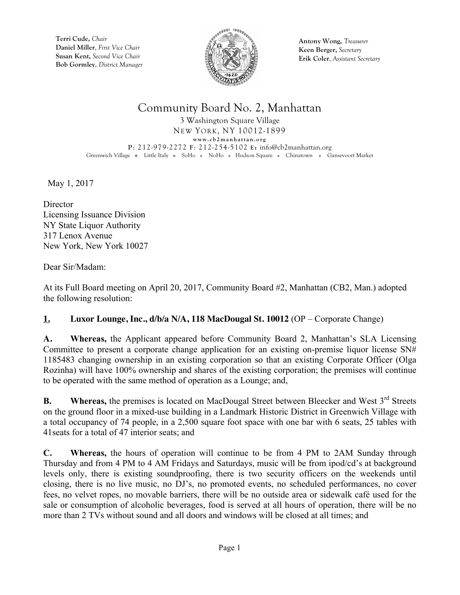

**Antony Wong,** *Treasurer* **Keen Berger,** *Secretary* **Erik Coler**, *Assistant Secretary*

## Community Board No. 2, Manhattan

3 Washington Square Village NEW YORK, NY 10012-1899 **www.cb2manhattan.org P**: 212-979-2272 **F**: 212-254-5102 **E:** info@cb2manhattan.org Greenwich Village • Little Italy • SoHo • NoHo • Hudson Square • Chinatown • Gansevoort Market

May 1, 2017

**Director** Licensing Issuance Division NY State Liquor Authority 317 Lenox Avenue New York, New York 10027

Dear Sir/Madam:

At its Full Board meeting on April 20, 2017, Community Board #2, Manhattan (CB2, Man.) adopted the following resolution:

#### **1. Luxor Lounge, Inc., d/b/a N/A, 118 MacDougal St. 10012** (OP – Corporate Change)

**A. Whereas,** the Applicant appeared before Community Board 2, Manhattan's SLA Licensing Committee to present a corporate change application for an existing on-premise liquor license SN# 1185483 changing ownership in an existing corporation so that an existing Corporate Officer (Olga Rozinha) will have 100% ownership and shares of the existing corporation; the premises will continue to be operated with the same method of operation as a Lounge; and,

**B.** Whereas, the premises is located on MacDougal Street between Bleecker and West 3<sup>rd</sup> Streets on the ground floor in a mixed-use building in a Landmark Historic District in Greenwich Village with a total occupancy of 74 people, in a 2,500 square foot space with one bar with 6 seats, 25 tables with 41seats for a total of 47 interior seats; and

**C. Whereas,** the hours of operation will continue to be from 4 PM to 2AM Sunday through Thursday and from 4 PM to 4 AM Fridays and Saturdays, music will be from ipod/cd's at background levels only, there is existing soundproofing, there is two security officers on the weekends until closing, there is no live music, no DJ's, no promoted events, no scheduled performances, no cover fees, no velvet ropes, no movable barriers, there will be no outside area or sidewalk café used for the sale or consumption of alcoholic beverages, food is served at all hours of operation, there will be no more than 2 TVs without sound and all doors and windows will be closed at all times; and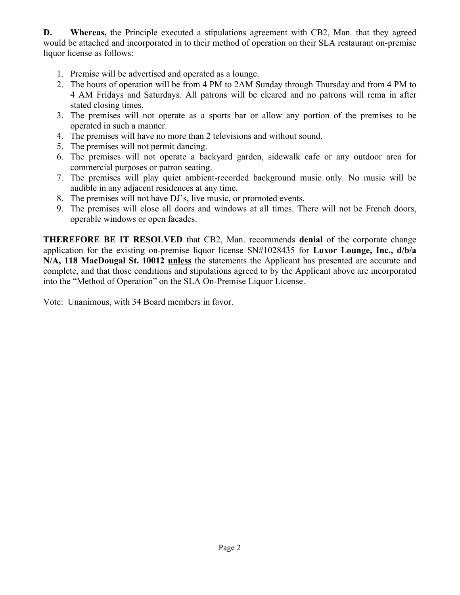**D. Whereas,** the Principle executed a stipulations agreement with CB2, Man. that they agreed would be attached and incorporated in to their method of operation on their SLA restaurant on-premise liquor license as follows:

- 1. Premise will be advertised and operated as a lounge.
- 2. The hours of operation will be from 4 PM to 2AM Sunday through Thursday and from 4 PM to 4 AM Fridays and Saturdays. All patrons will be cleared and no patrons will rema in after stated closing times.
- 3. The premises will not operate as a sports bar or allow any portion of the premises to be operated in such a manner.
- 4. The premises will have no more than 2 televisions and without sound.
- 5. The premises will not permit dancing.
- 6. The premises will not operate a backyard garden, sidewalk cafe or any outdoor area for commercial purposes or patron seating.
- 7. The premises will play quiet ambient-recorded background music only. No music will be audible in any adjacent residences at any time.
- 8. The premises will not have DJ's, live music, or promoted events.
- 9. The premises will close all doors and windows at all times. There will not be French doors, operable windows or open facades.

**THEREFORE BE IT RESOLVED** that CB2, Man. recommends **denial** of the corporate change application for the existing on-premise liquor license SN#1028435 for **Luxor Lounge, Inc., d/b/a N/A, 118 MacDougal St. 10012 unless** the statements the Applicant has presented are accurate and complete, and that those conditions and stipulations agreed to by the Applicant above are incorporated into the "Method of Operation" on the SLA On-Premise Liquor License.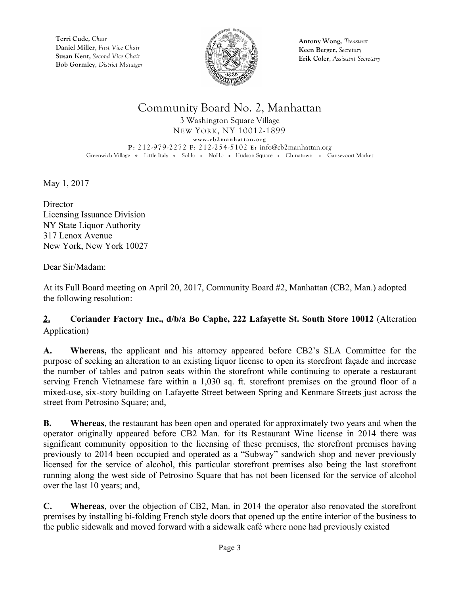

**Antony Wong,** *Treasurer* **Keen Berger,** *Secretary* **Erik Coler**, *Assistant Secretary*

## Community Board No. 2, Manhattan

3 Washington Square Village NEW YORK, NY 10012-1899 **www.cb2manhattan.org P**: 212-979-2272 **F**: 212-254-5102 **E:** info@cb2manhattan.org Greenwich Village • Little Italy • SoHo • NoHo • Hudson Square • Chinatown • Gansevoort Market

May 1, 2017

**Director** Licensing Issuance Division NY State Liquor Authority 317 Lenox Avenue New York, New York 10027

Dear Sir/Madam:

At its Full Board meeting on April 20, 2017, Community Board #2, Manhattan (CB2, Man.) adopted the following resolution:

#### **2. Coriander Factory Inc., d/b/a Bo Caphe, 222 Lafayette St. South Store 10012** (Alteration Application)

**A. Whereas,** the applicant and his attorney appeared before CB2's SLA Committee for the purpose of seeking an alteration to an existing liquor license to open its storefront façade and increase the number of tables and patron seats within the storefront while continuing to operate a restaurant serving French Vietnamese fare within a 1,030 sq. ft. storefront premises on the ground floor of a mixed-use, six-story building on Lafayette Street between Spring and Kenmare Streets just across the street from Petrosino Square; and,

**B. Whereas**, the restaurant has been open and operated for approximately two years and when the operator originally appeared before CB2 Man. for its Restaurant Wine license in 2014 there was significant community opposition to the licensing of these premises, the storefront premises having previously to 2014 been occupied and operated as a "Subway" sandwich shop and never previously licensed for the service of alcohol, this particular storefront premises also being the last storefront running along the west side of Petrosino Square that has not been licensed for the service of alcohol over the last 10 years; and,

**C. Whereas**, over the objection of CB2, Man. in 2014 the operator also renovated the storefront premises by installing bi-folding French style doors that opened up the entire interior of the business to the public sidewalk and moved forward with a sidewalk café where none had previously existed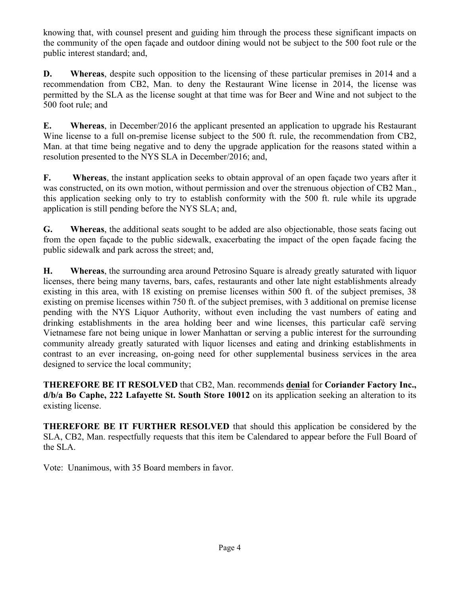knowing that, with counsel present and guiding him through the process these significant impacts on the community of the open façade and outdoor dining would not be subject to the 500 foot rule or the public interest standard; and,

**D. Whereas**, despite such opposition to the licensing of these particular premises in 2014 and a recommendation from CB2, Man. to deny the Restaurant Wine license in 2014, the license was permitted by the SLA as the license sought at that time was for Beer and Wine and not subject to the 500 foot rule; and

**E. Whereas**, in December/2016 the applicant presented an application to upgrade his Restaurant Wine license to a full on-premise license subject to the 500 ft. rule, the recommendation from CB2, Man. at that time being negative and to deny the upgrade application for the reasons stated within a resolution presented to the NYS SLA in December/2016; and,

**F. Whereas**, the instant application seeks to obtain approval of an open façade two years after it was constructed, on its own motion, without permission and over the strenuous objection of CB2 Man. this application seeking only to try to establish conformity with the 500 ft. rule while its upgrade application is still pending before the NYS SLA; and,

**G. Whereas**, the additional seats sought to be added are also objectionable, those seats facing out from the open façade to the public sidewalk, exacerbating the impact of the open façade facing the public sidewalk and park across the street; and,

**H. Whereas**, the surrounding area around Petrosino Square is already greatly saturated with liquor licenses, there being many taverns, bars, cafes, restaurants and other late night establishments already existing in this area, with 18 existing on premise licenses within 500 ft. of the subject premises, 38 existing on premise licenses within 750 ft. of the subject premises, with 3 additional on premise license pending with the NYS Liquor Authority, without even including the vast numbers of eating and drinking establishments in the area holding beer and wine licenses, this particular café serving Vietnamese fare not being unique in lower Manhattan or serving a public interest for the surrounding community already greatly saturated with liquor licenses and eating and drinking establishments in contrast to an ever increasing, on-going need for other supplemental business services in the area designed to service the local community;

**THEREFORE BE IT RESOLVED** that CB2, Man. recommends **denial** for **Coriander Factory Inc., d/b/a Bo Caphe, 222 Lafayette St. South Store 10012** on its application seeking an alteration to its existing license.

**THEREFORE BE IT FURTHER RESOLVED** that should this application be considered by the SLA, CB2, Man. respectfully requests that this item be Calendared to appear before the Full Board of the SLA.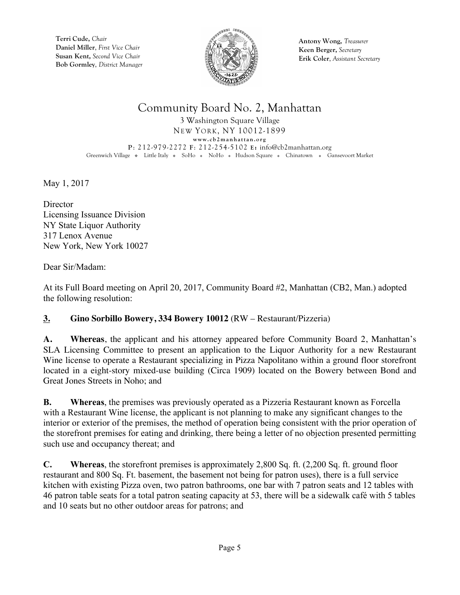

**Antony Wong,** *Treasurer* **Keen Berger,** *Secretary* **Erik Coler**, *Assistant Secretary*

# Community Board No. 2, Manhattan

3 Washington Square Village NEW YORK, NY 10012-1899 **www.cb2manhattan.org P**: 212-979-2272 **F**: 212-254-5102 **E:** info@cb2manhattan.org Greenwich Village • Little Italy • SoHo • NoHo • Hudson Square • Chinatown • Gansevoort Market

May 1, 2017

**Director** Licensing Issuance Division NY State Liquor Authority 317 Lenox Avenue New York, New York 10027

Dear Sir/Madam:

At its Full Board meeting on April 20, 2017, Community Board #2, Manhattan (CB2, Man.) adopted the following resolution:

#### **3. Gino Sorbillo Bowery, 334 Bowery 10012** (RW – Restaurant/Pizzeria)

**A. Whereas**, the applicant and his attorney appeared before Community Board 2, Manhattan's SLA Licensing Committee to present an application to the Liquor Authority for a new Restaurant Wine license to operate a Restaurant specializing in Pizza Napolitano within a ground floor storefront located in a eight-story mixed-use building (Circa 1909) located on the Bowery between Bond and Great Jones Streets in Noho; and

**B. Whereas**, the premises was previously operated as a Pizzeria Restaurant known as Forcella with a Restaurant Wine license, the applicant is not planning to make any significant changes to the interior or exterior of the premises, the method of operation being consistent with the prior operation of the storefront premises for eating and drinking, there being a letter of no objection presented permitting such use and occupancy thereat; and

**C. Whereas**, the storefront premises is approximately 2,800 Sq. ft. (2,200 Sq. ft. ground floor restaurant and 800 Sq. Ft. basement, the basement not being for patron uses), there is a full service kitchen with existing Pizza oven, two patron bathrooms, one bar with 7 patron seats and 12 tables with 46 patron table seats for a total patron seating capacity at 53, there will be a sidewalk café with 5 tables and 10 seats but no other outdoor areas for patrons; and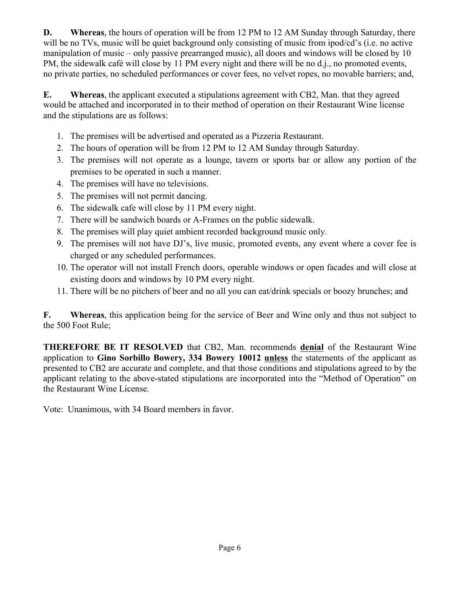**D. Whereas**, the hours of operation will be from 12 PM to 12 AM Sunday through Saturday, there will be no TVs, music will be quiet background only consisting of music from ipod/cd's (i.e. no active manipulation of music – only passive prearranged music), all doors and windows will be closed by 10 PM, the sidewalk café will close by 11 PM every night and there will be no d.j., no promoted events, no private parties, no scheduled performances or cover fees, no velvet ropes, no movable barriers; and,

**E. Whereas**, the applicant executed a stipulations agreement with CB2, Man. that they agreed would be attached and incorporated in to their method of operation on their Restaurant Wine license and the stipulations are as follows:

- 1. The premises will be advertised and operated as a Pizzeria Restaurant.
- 2. The hours of operation will be from 12 PM to 12 AM Sunday through Saturday.
- 3. The premises will not operate as a lounge, tavern or sports bar or allow any portion of the premises to be operated in such a manner.
- 4. The premises will have no televisions.
- 5. The premises will not permit dancing.
- 6. The sidewalk cafe will close by 11 PM every night.
- 7. There will be sandwich boards or A-Frames on the public sidewalk.
- 8. The premises will play quiet ambient recorded background music only.
- 9. The premises will not have DJ's, live music, promoted events, any event where a cover fee is charged or any scheduled performances.
- 10. The operator will not install French doors, operable windows or open facades and will close at existing doors and windows by 10 PM every night.
- 11. There will be no pitchers of beer and no all you can eat/drink specials or boozy brunches; and

**F. Whereas**, this application being for the service of Beer and Wine only and thus not subject to the 500 Foot Rule;

**THEREFORE BE IT RESOLVED** that CB2, Man. recommends **denial** of the Restaurant Wine application to **Gino Sorbillo Bowery, 334 Bowery 10012 unless** the statements of the applicant as presented to CB2 are accurate and complete, and that those conditions and stipulations agreed to by the applicant relating to the above-stated stipulations are incorporated into the "Method of Operation" on the Restaurant Wine License.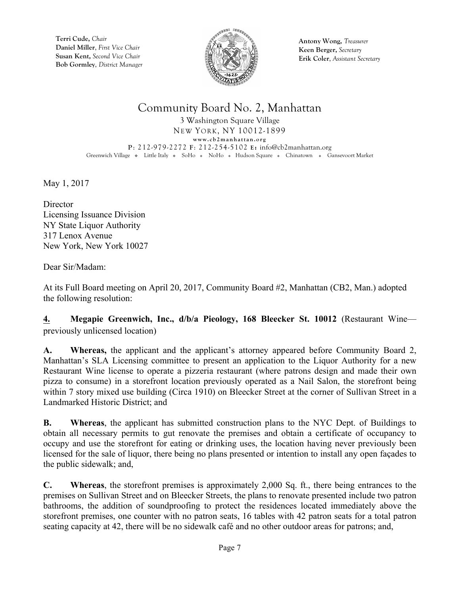

**Antony Wong,** *Treasurer* **Keen Berger,** *Secretary* **Erik Coler**, *Assistant Secretary*

#### Community Board No. 2, Manhattan

3 Washington Square Village NEW YORK, NY 10012-1899 **www.cb2manhattan.org P**: 212-979-2272 **F**: 212-254-5102 **E:** info@cb2manhattan.org Greenwich Village • Little Italy • SoHo • NoHo • Hudson Square • Chinatown • Gansevoort Market

May 1, 2017

**Director** Licensing Issuance Division NY State Liquor Authority 317 Lenox Avenue New York, New York 10027

Dear Sir/Madam:

At its Full Board meeting on April 20, 2017, Community Board #2, Manhattan (CB2, Man.) adopted the following resolution:

**4. Megapie Greenwich, Inc., d/b/a Pieology, 168 Bleecker St. 10012** (Restaurant Wine previously unlicensed location)

**A. Whereas,** the applicant and the applicant's attorney appeared before Community Board 2, Manhattan's SLA Licensing committee to present an application to the Liquor Authority for a new Restaurant Wine license to operate a pizzeria restaurant (where patrons design and made their own pizza to consume) in a storefront location previously operated as a Nail Salon, the storefront being within 7 story mixed use building (Circa 1910) on Bleecker Street at the corner of Sullivan Street in a Landmarked Historic District; and

**B. Whereas**, the applicant has submitted construction plans to the NYC Dept. of Buildings to obtain all necessary permits to gut renovate the premises and obtain a certificate of occupancy to occupy and use the storefront for eating or drinking uses, the location having never previously been licensed for the sale of liquor, there being no plans presented or intention to install any open façades to the public sidewalk; and,

**C. Whereas**, the storefront premises is approximately 2,000 Sq. ft., there being entrances to the premises on Sullivan Street and on Bleecker Streets, the plans to renovate presented include two patron bathrooms, the addition of soundproofing to protect the residences located immediately above the storefront premises, one counter with no patron seats, 16 tables with 42 patron seats for a total patron seating capacity at 42, there will be no sidewalk café and no other outdoor areas for patrons; and,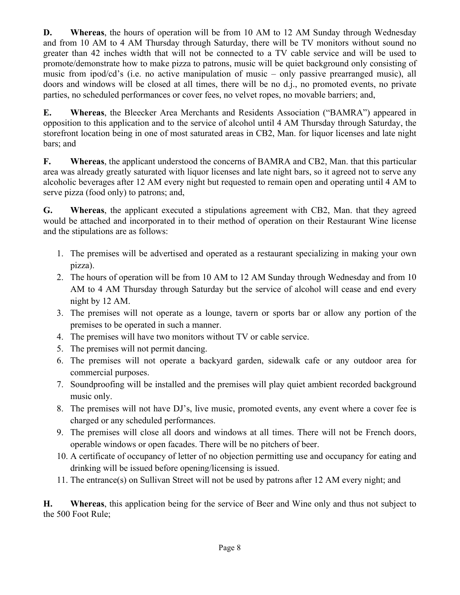**D. Whereas**, the hours of operation will be from 10 AM to 12 AM Sunday through Wednesday and from 10 AM to 4 AM Thursday through Saturday, there will be TV monitors without sound no greater than 42 inches width that will not be connected to a TV cable service and will be used to promote/demonstrate how to make pizza to patrons, music will be quiet background only consisting of music from ipod/cd's (i.e. no active manipulation of music – only passive prearranged music), all doors and windows will be closed at all times, there will be no d.j., no promoted events, no private parties, no scheduled performances or cover fees, no velvet ropes, no movable barriers; and,

**E. Whereas**, the Bleecker Area Merchants and Residents Association ("BAMRA") appeared in opposition to this application and to the service of alcohol until 4 AM Thursday through Saturday, the storefront location being in one of most saturated areas in CB2, Man. for liquor licenses and late night bars; and

**F. Whereas**, the applicant understood the concerns of BAMRA and CB2, Man. that this particular area was already greatly saturated with liquor licenses and late night bars, so it agreed not to serve any alcoholic beverages after 12 AM every night but requested to remain open and operating until 4 AM to serve pizza (food only) to patrons; and,

**G. Whereas**, the applicant executed a stipulations agreement with CB2, Man. that they agreed would be attached and incorporated in to their method of operation on their Restaurant Wine license and the stipulations are as follows:

- 1. The premises will be advertised and operated as a restaurant specializing in making your own pizza).
- 2. The hours of operation will be from 10 AM to 12 AM Sunday through Wednesday and from 10 AM to 4 AM Thursday through Saturday but the service of alcohol will cease and end every night by 12 AM.
- 3. The premises will not operate as a lounge, tavern or sports bar or allow any portion of the premises to be operated in such a manner.
- 4. The premises will have two monitors without TV or cable service.
- 5. The premises will not permit dancing.
- 6. The premises will not operate a backyard garden, sidewalk cafe or any outdoor area for commercial purposes.
- 7. Soundproofing will be installed and the premises will play quiet ambient recorded background music only.
- 8. The premises will not have DJ's, live music, promoted events, any event where a cover fee is charged or any scheduled performances.
- 9. The premises will close all doors and windows at all times. There will not be French doors, operable windows or open facades. There will be no pitchers of beer.
- 10. A certificate of occupancy of letter of no objection permitting use and occupancy for eating and drinking will be issued before opening/licensing is issued.
- 11. The entrance(s) on Sullivan Street will not be used by patrons after 12 AM every night; and

**H. Whereas**, this application being for the service of Beer and Wine only and thus not subject to the 500 Foot Rule;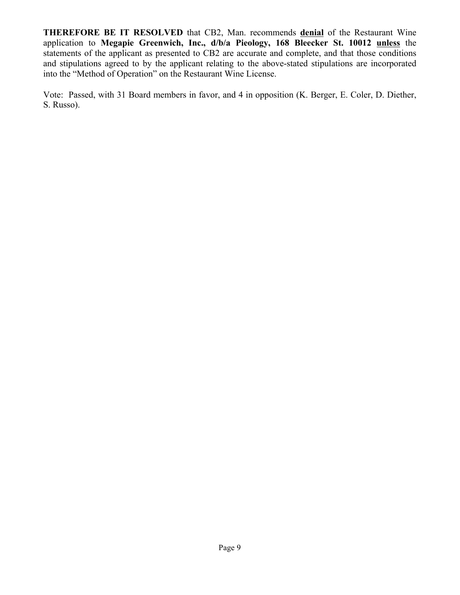**THEREFORE BE IT RESOLVED** that CB2, Man. recommends **denial** of the Restaurant Wine application to **Megapie Greenwich, Inc., d/b/a Pieology, 168 Bleecker St. 10012 unless** the statements of the applicant as presented to CB2 are accurate and complete, and that those conditions and stipulations agreed to by the applicant relating to the above-stated stipulations are incorporated into the "Method of Operation" on the Restaurant Wine License.

Vote: Passed, with 31 Board members in favor, and 4 in opposition (K. Berger, E. Coler, D. Diether, S. Russo).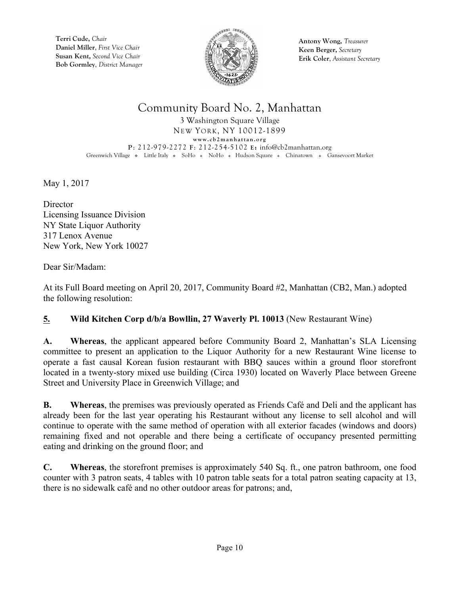

**Antony Wong,** *Treasurer* **Keen Berger,** *Secretary* **Erik Coler**, *Assistant Secretary*

# Community Board No. 2, Manhattan

3 Washington Square Village NEW YORK, NY 10012-1899 **www.cb2manhattan.org P**: 212-979-2272 **F**: 212-254-5102 **E:** info@cb2manhattan.org Greenwich Village • Little Italy • SoHo • NoHo • Hudson Square • Chinatown • Gansevoort Market

May 1, 2017

**Director** Licensing Issuance Division NY State Liquor Authority 317 Lenox Avenue New York, New York 10027

Dear Sir/Madam:

At its Full Board meeting on April 20, 2017, Community Board #2, Manhattan (CB2, Man.) adopted the following resolution:

#### **5. Wild Kitchen Corp d/b/a Bowllin, 27 Waverly Pl. 10013** (New Restaurant Wine)

**A. Whereas**, the applicant appeared before Community Board 2, Manhattan's SLA Licensing committee to present an application to the Liquor Authority for a new Restaurant Wine license to operate a fast causal Korean fusion restaurant with BBQ sauces within a ground floor storefront located in a twenty-story mixed use building (Circa 1930) located on Waverly Place between Greene Street and University Place in Greenwich Village; and

**B. Whereas**, the premises was previously operated as Friends Café and Deli and the applicant has already been for the last year operating his Restaurant without any license to sell alcohol and will continue to operate with the same method of operation with all exterior facades (windows and doors) remaining fixed and not operable and there being a certificate of occupancy presented permitting eating and drinking on the ground floor; and

**C. Whereas**, the storefront premises is approximately 540 Sq. ft., one patron bathroom, one food counter with 3 patron seats, 4 tables with 10 patron table seats for a total patron seating capacity at 13, there is no sidewalk café and no other outdoor areas for patrons; and,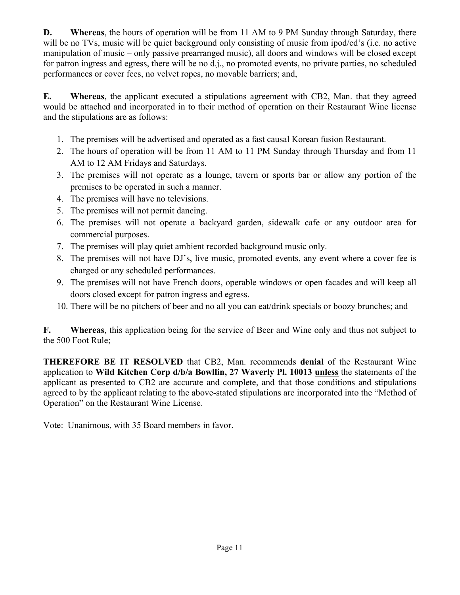**D. Whereas**, the hours of operation will be from 11 AM to 9 PM Sunday through Saturday, there will be no TVs, music will be quiet background only consisting of music from ipod/cd's (i.e. no active manipulation of music – only passive prearranged music), all doors and windows will be closed except for patron ingress and egress, there will be no d.j., no promoted events, no private parties, no scheduled performances or cover fees, no velvet ropes, no movable barriers; and,

**E. Whereas**, the applicant executed a stipulations agreement with CB2, Man. that they agreed would be attached and incorporated in to their method of operation on their Restaurant Wine license and the stipulations are as follows:

- 1. The premises will be advertised and operated as a fast causal Korean fusion Restaurant.
- 2. The hours of operation will be from 11 AM to 11 PM Sunday through Thursday and from 11 AM to 12 AM Fridays and Saturdays.
- 3. The premises will not operate as a lounge, tavern or sports bar or allow any portion of the premises to be operated in such a manner.
- 4. The premises will have no televisions.
- 5. The premises will not permit dancing.
- 6. The premises will not operate a backyard garden, sidewalk cafe or any outdoor area for commercial purposes.
- 7. The premises will play quiet ambient recorded background music only.
- 8. The premises will not have DJ's, live music, promoted events, any event where a cover fee is charged or any scheduled performances.
- 9. The premises will not have French doors, operable windows or open facades and will keep all doors closed except for patron ingress and egress.
- 10. There will be no pitchers of beer and no all you can eat/drink specials or boozy brunches; and

**F. Whereas**, this application being for the service of Beer and Wine only and thus not subject to the 500 Foot Rule;

**THEREFORE BE IT RESOLVED** that CB2, Man. recommends **denial** of the Restaurant Wine application to **Wild Kitchen Corp d/b/a Bowllin, 27 Waverly Pl. 10013 unless** the statements of the applicant as presented to CB2 are accurate and complete, and that those conditions and stipulations agreed to by the applicant relating to the above-stated stipulations are incorporated into the "Method of Operation" on the Restaurant Wine License.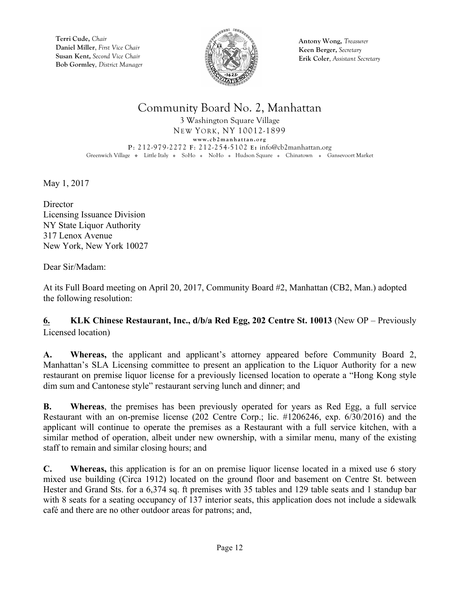

**Antony Wong,** *Treasurer* **Keen Berger,** *Secretary* **Erik Coler**, *Assistant Secretary*

## Community Board No. 2, Manhattan

3 Washington Square Village NEW YORK, NY 10012-1899 **www.cb2manhattan.org P**: 212-979-2272 **F**: 212-254-5102 **E:** info@cb2manhattan.org Greenwich Village • Little Italy • SoHo • NoHo • Hudson Square • Chinatown • Gansevoort Market

May 1, 2017

**Director** Licensing Issuance Division NY State Liquor Authority 317 Lenox Avenue New York, New York 10027

Dear Sir/Madam:

At its Full Board meeting on April 20, 2017, Community Board #2, Manhattan (CB2, Man.) adopted the following resolution:

**6. KLK Chinese Restaurant, Inc., d/b/a Red Egg, 202 Centre St. 10013** (New OP – Previously Licensed location)

**A. Whereas,** the applicant and applicant's attorney appeared before Community Board 2, Manhattan's SLA Licensing committee to present an application to the Liquor Authority for a new restaurant on premise liquor license for a previously licensed location to operate a "Hong Kong style dim sum and Cantonese style" restaurant serving lunch and dinner; and

**B. Whereas**, the premises has been previously operated for years as Red Egg, a full service Restaurant with an on-premise license (202 Centre Corp.; lic. #1206246, exp. 6/30/2016) and the applicant will continue to operate the premises as a Restaurant with a full service kitchen, with a similar method of operation, albeit under new ownership, with a similar menu, many of the existing staff to remain and similar closing hours; and

**C. Whereas,** this application is for an on premise liquor license located in a mixed use 6 story mixed use building (Circa 1912) located on the ground floor and basement on Centre St. between Hester and Grand Sts. for a 6,374 sq. ft premises with 35 tables and 129 table seats and 1 standup bar with 8 seats for a seating occupancy of 137 interior seats, this application does not include a sidewalk café and there are no other outdoor areas for patrons; and,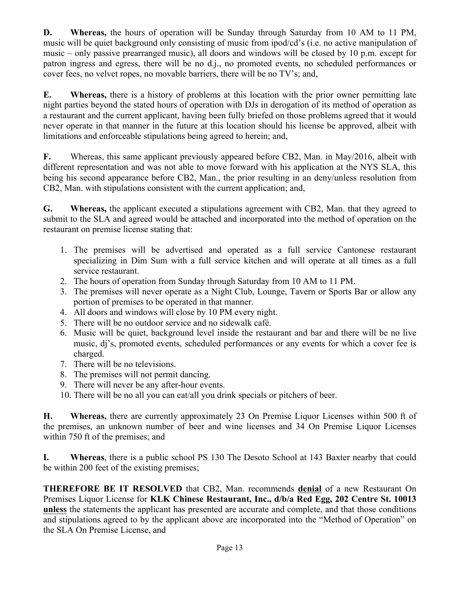**D. Whereas,** the hours of operation will be Sunday through Saturday from 10 AM to 11 PM, music will be quiet background only consisting of music from ipod/cd's (i.e. no active manipulation of music – only passive prearranged music), all doors and windows will be closed by 10 p.m. except for patron ingress and egress, there will be no d.j., no promoted events, no scheduled performances or cover fees, no velvet ropes, no movable barriers, there will be no TV's; and,

**E. Whereas,** there is a history of problems at this location with the prior owner permitting late night parties beyond the stated hours of operation with DJs in derogation of its method of operation as a restaurant and the current applicant, having been fully briefed on those problems agreed that it would never operate in that manner in the future at this location should his license be approved, albeit with limitations and enforceable stipulations being agreed to herein; and,

**F.** Whereas, this same applicant previously appeared before CB2, Man. in May/2016, albeit with different representation and was not able to move forward with his application at the NYS SLA, this being his second appearance before CB2, Man., the prior resulting in an deny/unless resolution from CB2, Man. with stipulations consistent with the current application; and,

**G. Whereas,** the applicant executed a stipulations agreement with CB2, Man. that they agreed to submit to the SLA and agreed would be attached and incorporated into the method of operation on the restaurant on premise license stating that:

- 1. The premises will be advertised and operated as a full service Cantonese restaurant specializing in Dim Sum with a full service kitchen and will operate at all times as a full service restaurant.
- 2. The hours of operation from Sunday through Saturday from 10 AM to 11 PM.
- 3. The premises will never operate as a Night Club, Lounge, Tavern or Sports Bar or allow any portion of premises to be operated in that manner.
- 4. All doors and windows will close by 10 PM every night.
- 5. There will be no outdoor service and no sidewalk café.
- 6. Music will be quiet, background level inside the restaurant and bar and there will be no live music, dj's, promoted events, scheduled performances or any events for which a cover fee is charged.
- 7. There will be no televisions.
- 8. The premises will not permit dancing.
- 9. There will never be any after-hour events.
- 10. There will be no all you can eat/all you drink specials or pitchers of beer.

**H. Whereas,** there are currently approximately 23 On Premise Liquor Licenses within 500 ft of the premises, an unknown number of beer and wine licenses and 34 On Premise Liquor Licenses within 750 ft of the premises; and

**I. Whereas**, there is a public school PS 130 The Desoto School at 143 Baxter nearby that could be within 200 feet of the existing premises;

**THEREFORE BE IT RESOLVED** that CB2, Man. recommends **denial** of a new Restaurant On Premises Liquor License for **KLK Chinese Restaurant, Inc., d/b/a Red Egg, 202 Centre St. 10013 unless** the statements the applicant has presented are accurate and complete, and that those conditions and stipulations agreed to by the applicant above are incorporated into the "Method of Operation" on the SLA On Premise License, and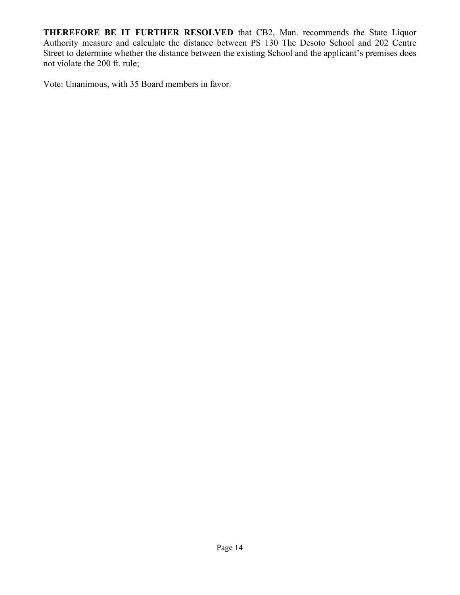**THEREFORE BE IT FURTHER RESOLVED** that CB2, Man. recommends the State Liquor Authority measure and calculate the distance between PS 130 The Desoto School and 202 Centre Street to determine whether the distance between the existing School and the applicant's premises does not violate the 200 ft. rule;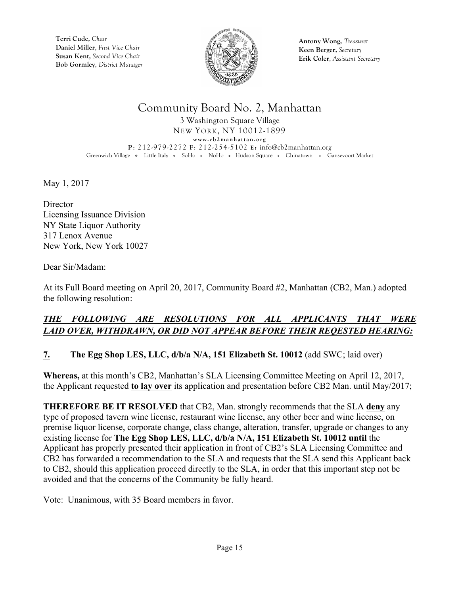

**Antony Wong,** *Treasurer* **Keen Berger,** *Secretary* **Erik Coler**, *Assistant Secretary*

# Community Board No. 2, Manhattan

3 Washington Square Village NEW YORK, NY 10012-1899 **www.cb2manhattan.org P**: 212-979-2272 **F**: 212-254-5102 **E:** info@cb2manhattan.org Greenwich Village • Little Italy • SoHo • NoHo • Hudson Square • Chinatown • Gansevoort Market

May 1, 2017

**Director** Licensing Issuance Division NY State Liquor Authority 317 Lenox Avenue New York, New York 10027

Dear Sir/Madam:

At its Full Board meeting on April 20, 2017, Community Board #2, Manhattan (CB2, Man.) adopted the following resolution:

#### *THE FOLLOWING ARE RESOLUTIONS FOR ALL APPLICANTS THAT WERE LAID OVER, WITHDRAWN, OR DID NOT APPEAR BEFORE THEIR REQESTED HEARING:*

#### **7. The Egg Shop LES, LLC, d/b/a N/A, 151 Elizabeth St. 10012** (add SWC; laid over)

**Whereas,** at this month's CB2, Manhattan's SLA Licensing Committee Meeting on April 12, 2017, the Applicant requested **to lay over** its application and presentation before CB2 Man. until May/2017;

**THEREFORE BE IT RESOLVED** that CB2, Man. strongly recommends that the SLA **deny** any type of proposed tavern wine license, restaurant wine license, any other beer and wine license, on premise liquor license, corporate change, class change, alteration, transfer, upgrade or changes to any existing license for **The Egg Shop LES, LLC, d/b/a N/A, 151 Elizabeth St. 10012 until** the Applicant has properly presented their application in front of CB2's SLA Licensing Committee and CB2 has forwarded a recommendation to the SLA and requests that the SLA send this Applicant back to CB2, should this application proceed directly to the SLA, in order that this important step not be avoided and that the concerns of the Community be fully heard.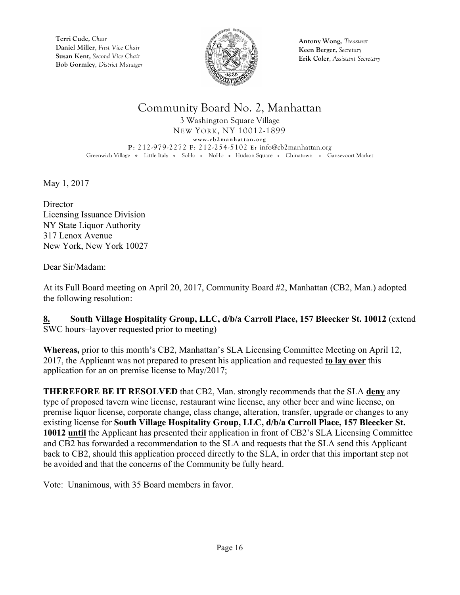

**Antony Wong,** *Treasurer* **Keen Berger,** *Secretary* **Erik Coler**, *Assistant Secretary*

# Community Board No. 2, Manhattan

3 Washington Square Village NEW YORK, NY 10012-1899 **www.cb2manhattan.org P**: 212-979-2272 **F**: 212-254-5102 **E:** info@cb2manhattan.org Greenwich Village • Little Italy • SoHo • NoHo • Hudson Square • Chinatown • Gansevoort Market

May 1, 2017

**Director** Licensing Issuance Division NY State Liquor Authority 317 Lenox Avenue New York, New York 10027

Dear Sir/Madam:

At its Full Board meeting on April 20, 2017, Community Board #2, Manhattan (CB2, Man.) adopted the following resolution:

**8. South Village Hospitality Group, LLC, d/b/a Carroll Place, 157 Bleecker St. 10012** (extend SWC hours–layover requested prior to meeting)

**Whereas,** prior to this month's CB2, Manhattan's SLA Licensing Committee Meeting on April 12, 2017, the Applicant was not prepared to present his application and requested **to lay over** this application for an on premise license to May/2017;

**THEREFORE BE IT RESOLVED** that CB2, Man. strongly recommends that the SLA **deny** any type of proposed tavern wine license, restaurant wine license, any other beer and wine license, on premise liquor license, corporate change, class change, alteration, transfer, upgrade or changes to any existing license for **South Village Hospitality Group, LLC, d/b/a Carroll Place, 157 Bleecker St. 10012 until** the Applicant has presented their application in front of CB2's SLA Licensing Committee and CB2 has forwarded a recommendation to the SLA and requests that the SLA send this Applicant back to CB2, should this application proceed directly to the SLA, in order that this important step not be avoided and that the concerns of the Community be fully heard.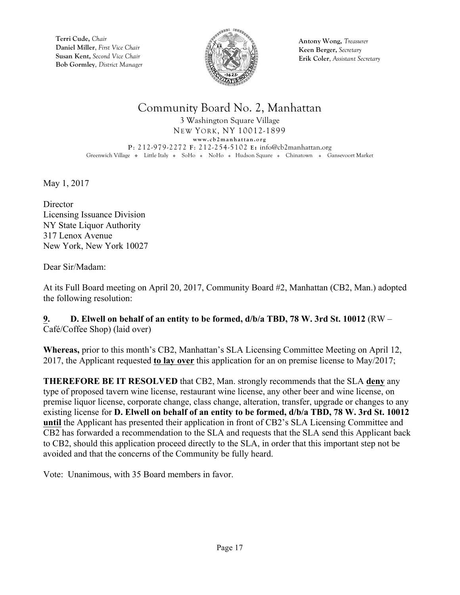

**Antony Wong,** *Treasurer* **Keen Berger,** *Secretary* **Erik Coler**, *Assistant Secretary*

# Community Board No. 2, Manhattan

3 Washington Square Village NEW YORK, NY 10012-1899 **www.cb2manhattan.org P**: 212-979-2272 **F**: 212-254-5102 **E:** info@cb2manhattan.org Greenwich Village • Little Italy • SoHo • NoHo • Hudson Square • Chinatown • Gansevoort Market

May 1, 2017

**Director** Licensing Issuance Division NY State Liquor Authority 317 Lenox Avenue New York, New York 10027

Dear Sir/Madam:

At its Full Board meeting on April 20, 2017, Community Board #2, Manhattan (CB2, Man.) adopted the following resolution:

**9. D. Elwell on behalf of an entity to be formed, d/b/a TBD, 78 W. 3rd St. 10012** (RW – Café/Coffee Shop) (laid over)

**Whereas,** prior to this month's CB2, Manhattan's SLA Licensing Committee Meeting on April 12, 2017, the Applicant requested **to lay over** this application for an on premise license to May/2017;

**THEREFORE BE IT RESOLVED** that CB2, Man. strongly recommends that the SLA **deny** any type of proposed tavern wine license, restaurant wine license, any other beer and wine license, on premise liquor license, corporate change, class change, alteration, transfer, upgrade or changes to any existing license for **D. Elwell on behalf of an entity to be formed, d/b/a TBD, 78 W. 3rd St. 10012 until** the Applicant has presented their application in front of CB2's SLA Licensing Committee and CB2 has forwarded a recommendation to the SLA and requests that the SLA send this Applicant back to CB2, should this application proceed directly to the SLA, in order that this important step not be avoided and that the concerns of the Community be fully heard.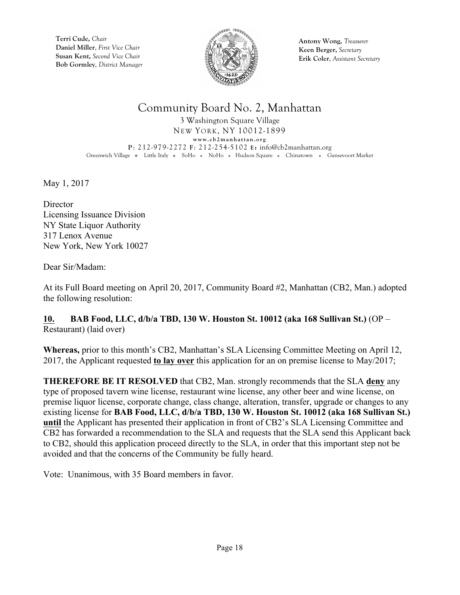

**Antony Wong,** *Treasurer* **Keen Berger,** *Secretary* **Erik Coler**, *Assistant Secretary*

## Community Board No. 2, Manhattan

3 Washington Square Village NEW YORK, NY 10012-1899 **www.cb2manhattan.org P**: 212-979-2272 **F**: 212-254-5102 **E:** info@cb2manhattan.org Greenwich Village • Little Italy • SoHo • NoHo • Hudson Square • Chinatown • Gansevoort Market

May 1, 2017

**Director** Licensing Issuance Division NY State Liquor Authority 317 Lenox Avenue New York, New York 10027

Dear Sir/Madam:

At its Full Board meeting on April 20, 2017, Community Board #2, Manhattan (CB2, Man.) adopted the following resolution:

**10. BAB Food, LLC, d/b/a TBD, 130 W. Houston St. 10012 (aka 168 Sullivan St.)** (OP – Restaurant) (laid over)

**Whereas,** prior to this month's CB2, Manhattan's SLA Licensing Committee Meeting on April 12, 2017, the Applicant requested **to lay over** this application for an on premise license to May/2017;

**THEREFORE BE IT RESOLVED** that CB2, Man. strongly recommends that the SLA **deny** any type of proposed tavern wine license, restaurant wine license, any other beer and wine license, on premise liquor license, corporate change, class change, alteration, transfer, upgrade or changes to any existing license for **BAB Food, LLC, d/b/a TBD, 130 W. Houston St. 10012 (aka 168 Sullivan St.) until** the Applicant has presented their application in front of CB2's SLA Licensing Committee and CB2 has forwarded a recommendation to the SLA and requests that the SLA send this Applicant back to CB2, should this application proceed directly to the SLA, in order that this important step not be avoided and that the concerns of the Community be fully heard.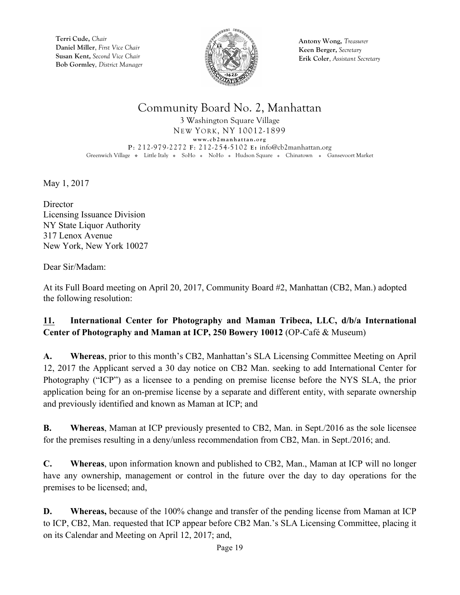

**Antony Wong,** *Treasurer* **Keen Berger,** *Secretary* **Erik Coler**, *Assistant Secretary*

# Community Board No. 2, Manhattan

3 Washington Square Village NEW YORK, NY 10012-1899 **www.cb2manhattan.org P**: 212-979-2272 **F**: 212-254-5102 **E:** info@cb2manhattan.org Greenwich Village • Little Italy • SoHo • NoHo • Hudson Square • Chinatown • Gansevoort Market

May 1, 2017

**Director** Licensing Issuance Division NY State Liquor Authority 317 Lenox Avenue New York, New York 10027

Dear Sir/Madam:

At its Full Board meeting on April 20, 2017, Community Board #2, Manhattan (CB2, Man.) adopted the following resolution:

#### **11. International Center for Photography and Maman Tribeca, LLC, d/b/a International Center of Photography and Maman at ICP, 250 Bowery 10012** (OP-Café & Museum)

**A. Whereas**, prior to this month's CB2, Manhattan's SLA Licensing Committee Meeting on April 12, 2017 the Applicant served a 30 day notice on CB2 Man. seeking to add International Center for Photography ("ICP") as a licensee to a pending on premise license before the NYS SLA, the prior application being for an on-premise license by a separate and different entity, with separate ownership and previously identified and known as Maman at ICP; and

**B. Whereas**, Maman at ICP previously presented to CB2, Man. in Sept./2016 as the sole licensee for the premises resulting in a deny/unless recommendation from CB2, Man. in Sept./2016; and.

**C. Whereas**, upon information known and published to CB2, Man., Maman at ICP will no longer have any ownership, management or control in the future over the day to day operations for the premises to be licensed; and,

**D. Whereas,** because of the 100% change and transfer of the pending license from Maman at ICP to ICP, CB2, Man. requested that ICP appear before CB2 Man.'s SLA Licensing Committee, placing it on its Calendar and Meeting on April 12, 2017; and,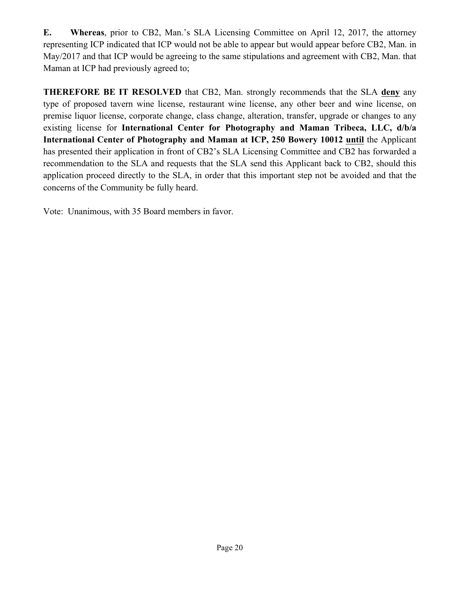**E. Whereas**, prior to CB2, Man.'s SLA Licensing Committee on April 12, 2017, the attorney representing ICP indicated that ICP would not be able to appear but would appear before CB2, Man. in May/2017 and that ICP would be agreeing to the same stipulations and agreement with CB2, Man. that Maman at ICP had previously agreed to;

**THEREFORE BE IT RESOLVED** that CB2, Man. strongly recommends that the SLA **deny** any type of proposed tavern wine license, restaurant wine license, any other beer and wine license, on premise liquor license, corporate change, class change, alteration, transfer, upgrade or changes to any existing license for **International Center for Photography and Maman Tribeca, LLC, d/b/a International Center of Photography and Maman at ICP, 250 Bowery 10012 until** the Applicant has presented their application in front of CB2's SLA Licensing Committee and CB2 has forwarded a recommendation to the SLA and requests that the SLA send this Applicant back to CB2, should this application proceed directly to the SLA, in order that this important step not be avoided and that the concerns of the Community be fully heard.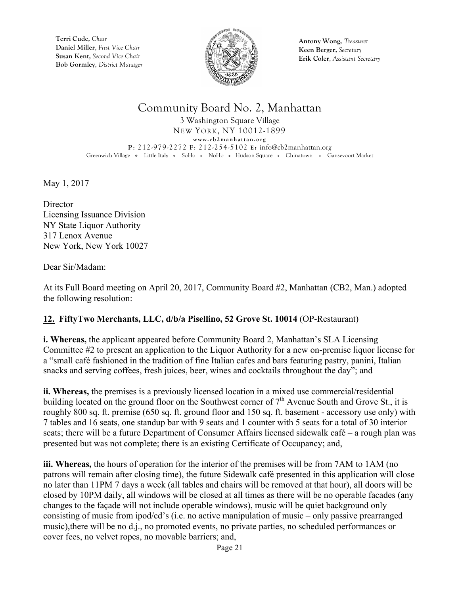

**Antony Wong,** *Treasurer* **Keen Berger,** *Secretary* **Erik Coler**, *Assistant Secretary*

#### Community Board No. 2, Manhattan

3 Washington Square Village NEW YORK, NY 10012-1899 **www.cb2manhattan.org P**: 212-979-2272 **F**: 212-254-5102 **E:** info@cb2manhattan.org Greenwich Village • Little Italy • SoHo • NoHo • Hudson Square • Chinatown • Gansevoort Market

May 1, 2017

**Director** Licensing Issuance Division NY State Liquor Authority 317 Lenox Avenue New York, New York 10027

Dear Sir/Madam:

At its Full Board meeting on April 20, 2017, Community Board #2, Manhattan (CB2, Man.) adopted the following resolution:

#### **12. FiftyTwo Merchants, LLC, d/b/a Pisellino, 52 Grove St. 10014** (OP-Restaurant)

**i. Whereas,** the applicant appeared before Community Board 2, Manhattan's SLA Licensing Committee #2 to present an application to the Liquor Authority for a new on-premise liquor license for a "small café fashioned in the tradition of fine Italian cafes and bars featuring pastry, panini, Italian snacks and serving coffees, fresh juices, beer, wines and cocktails throughout the day"; and

**ii. Whereas,** the premises is a previously licensed location in a mixed use commercial/residential building located on the ground floor on the Southwest corner of  $7<sup>th</sup>$  Avenue South and Grove St., it is roughly 800 sq. ft. premise (650 sq. ft. ground floor and 150 sq. ft. basement - accessory use only) with 7 tables and 16 seats, one standup bar with 9 seats and 1 counter with 5 seats for a total of 30 interior seats; there will be a future Department of Consumer Affairs licensed sidewalk café – a rough plan was presented but was not complete; there is an existing Certificate of Occupancy; and,

**iii. Whereas,** the hours of operation for the interior of the premises will be from 7AM to 1AM (no patrons will remain after closing time), the future Sidewalk café presented in this application will close no later than 11PM 7 days a week (all tables and chairs will be removed at that hour), all doors will be closed by 10PM daily, all windows will be closed at all times as there will be no operable facades (any changes to the façade will not include operable windows), music will be quiet background only consisting of music from ipod/cd's (i.e. no active manipulation of music – only passive prearranged music),there will be no d.j., no promoted events, no private parties, no scheduled performances or cover fees, no velvet ropes, no movable barriers; and,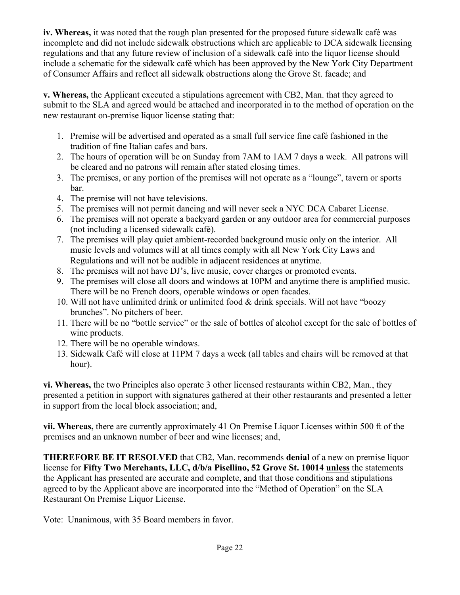**iv. Whereas,** it was noted that the rough plan presented for the proposed future sidewalk café was incomplete and did not include sidewalk obstructions which are applicable to DCA sidewalk licensing regulations and that any future review of inclusion of a sidewalk café into the liquor license should include a schematic for the sidewalk café which has been approved by the New York City Department of Consumer Affairs and reflect all sidewalk obstructions along the Grove St. facade; and

**v. Whereas,** the Applicant executed a stipulations agreement with CB2, Man. that they agreed to submit to the SLA and agreed would be attached and incorporated in to the method of operation on the new restaurant on-premise liquor license stating that:

- 1. Premise will be advertised and operated as a small full service fine café fashioned in the tradition of fine Italian cafes and bars.
- 2. The hours of operation will be on Sunday from 7AM to 1AM 7 days a week. All patrons will be cleared and no patrons will remain after stated closing times.
- 3. The premises, or any portion of the premises will not operate as a "lounge", tavern or sports bar.
- 4. The premise will not have televisions.
- 5. The premises will not permit dancing and will never seek a NYC DCA Cabaret License.
- 6. The premises will not operate a backyard garden or any outdoor area for commercial purposes (not including a licensed sidewalk café).
- 7. The premises will play quiet ambient-recorded background music only on the interior. All music levels and volumes will at all times comply with all New York City Laws and Regulations and will not be audible in adjacent residences at anytime.
- 8. The premises will not have DJ's, live music, cover charges or promoted events.
- 9. The premises will close all doors and windows at 10PM and anytime there is amplified music. There will be no French doors, operable windows or open facades.
- 10. Will not have unlimited drink or unlimited food & drink specials. Will not have "boozy brunches". No pitchers of beer.
- 11. There will be no "bottle service" or the sale of bottles of alcohol except for the sale of bottles of wine products.
- 12. There will be no operable windows.
- 13. Sidewalk Café will close at 11PM 7 days a week (all tables and chairs will be removed at that hour).

**vi. Whereas,** the two Principles also operate 3 other licensed restaurants within CB2, Man., they presented a petition in support with signatures gathered at their other restaurants and presented a letter in support from the local block association; and,

**vii. Whereas,** there are currently approximately 41 On Premise Liquor Licenses within 500 ft of the premises and an unknown number of beer and wine licenses; and,

**THEREFORE BE IT RESOLVED** that CB2, Man. recommends **denial** of a new on premise liquor license for **Fifty Two Merchants, LLC, d/b/a Pisellino, 52 Grove St. 10014 unless** the statements the Applicant has presented are accurate and complete, and that those conditions and stipulations agreed to by the Applicant above are incorporated into the "Method of Operation" on the SLA Restaurant On Premise Liquor License.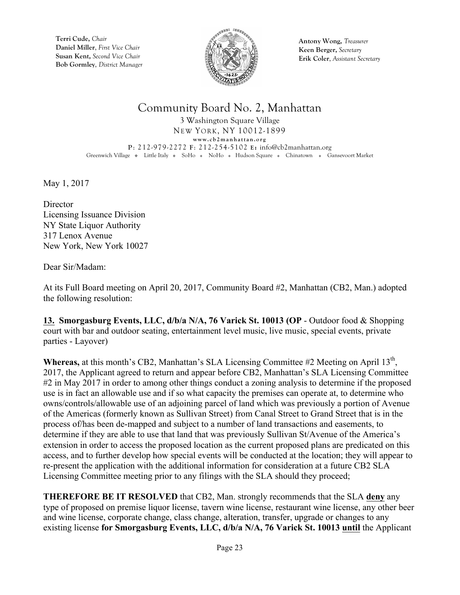

**Antony Wong,** *Treasurer* **Keen Berger,** *Secretary* **Erik Coler**, *Assistant Secretary*

## Community Board No. 2, Manhattan

3 Washington Square Village NEW YORK, NY 10012-1899 **www.cb2manhattan.org P**: 212-979-2272 **F**: 212-254-5102 **E:** info@cb2manhattan.org Greenwich Village • Little Italy • SoHo • NoHo • Hudson Square • Chinatown • Gansevoort Market

May 1, 2017

**Director** Licensing Issuance Division NY State Liquor Authority 317 Lenox Avenue New York, New York 10027

Dear Sir/Madam:

At its Full Board meeting on April 20, 2017, Community Board #2, Manhattan (CB2, Man.) adopted the following resolution:

**13. Smorgasburg Events, LLC, d/b/a N/A, 76 Varick St. 10013 (OP** - Outdoor food & Shopping court with bar and outdoor seating, entertainment level music, live music, special events, private parties - Layover)

Whereas, at this month's CB2, Manhattan's SLA Licensing Committee #2 Meeting on April 13<sup>th</sup>, 2017, the Applicant agreed to return and appear before CB2, Manhattan's SLA Licensing Committee #2 in May 2017 in order to among other things conduct a zoning analysis to determine if the proposed use is in fact an allowable use and if so what capacity the premises can operate at, to determine who owns/controls/allowable use of an adjoining parcel of land which was previously a portion of Avenue of the Americas (formerly known as Sullivan Street) from Canal Street to Grand Street that is in the process of/has been de-mapped and subject to a number of land transactions and easements, to determine if they are able to use that land that was previously Sullivan St/Avenue of the America's extension in order to access the proposed location as the current proposed plans are predicated on this access, and to further develop how special events will be conducted at the location; they will appear to re-present the application with the additional information for consideration at a future CB2 SLA Licensing Committee meeting prior to any filings with the SLA should they proceed;

**THEREFORE BE IT RESOLVED** that CB2, Man. strongly recommends that the SLA **deny** any type of proposed on premise liquor license, tavern wine license, restaurant wine license, any other beer and wine license, corporate change, class change, alteration, transfer, upgrade or changes to any existing license **for Smorgasburg Events, LLC, d/b/a N/A, 76 Varick St. 10013 until** the Applicant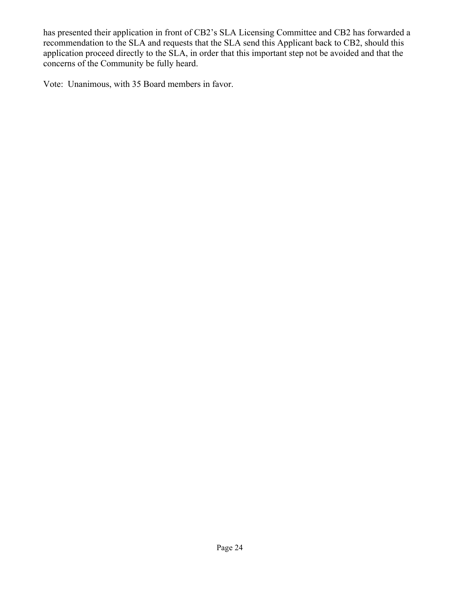has presented their application in front of CB2's SLA Licensing Committee and CB2 has forwarded a recommendation to the SLA and requests that the SLA send this Applicant back to CB2, should this application proceed directly to the SLA, in order that this important step not be avoided and that the concerns of the Community be fully heard.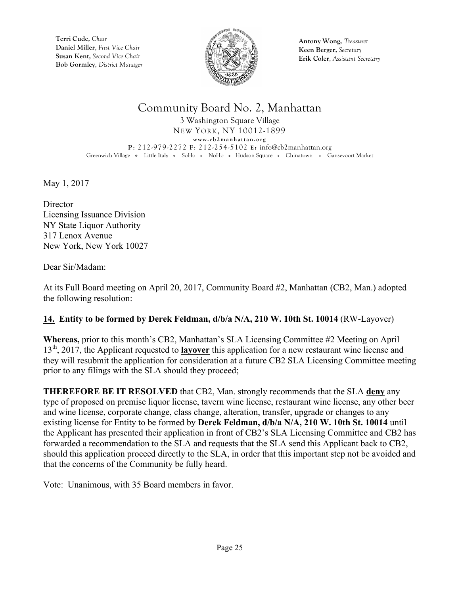

**Antony Wong,** *Treasurer* **Keen Berger,** *Secretary* **Erik Coler**, *Assistant Secretary*

## Community Board No. 2, Manhattan

3 Washington Square Village NEW YORK, NY 10012-1899 **www.cb2manhattan.org P**: 212-979-2272 **F**: 212-254-5102 **E:** info@cb2manhattan.org Greenwich Village • Little Italy • SoHo • NoHo • Hudson Square • Chinatown • Gansevoort Market

May 1, 2017

**Director** Licensing Issuance Division NY State Liquor Authority 317 Lenox Avenue New York, New York 10027

Dear Sir/Madam:

At its Full Board meeting on April 20, 2017, Community Board #2, Manhattan (CB2, Man.) adopted the following resolution:

#### **14. Entity to be formed by Derek Feldman, d/b/a N/A, 210 W. 10th St. 10014** (RW-Layover)

**Whereas,** prior to this month's CB2, Manhattan's SLA Licensing Committee #2 Meeting on April 13th, 2017, the Applicant requested to **layover** this application for a new restaurant wine license and they will resubmit the application for consideration at a future CB2 SLA Licensing Committee meeting prior to any filings with the SLA should they proceed;

**THEREFORE BE IT RESOLVED** that CB2, Man. strongly recommends that the SLA **deny** any type of proposed on premise liquor license, tavern wine license, restaurant wine license, any other beer and wine license, corporate change, class change, alteration, transfer, upgrade or changes to any existing license for Entity to be formed by **Derek Feldman, d/b/a N/A, 210 W. 10th St. 10014** until the Applicant has presented their application in front of CB2's SLA Licensing Committee and CB2 has forwarded a recommendation to the SLA and requests that the SLA send this Applicant back to CB2, should this application proceed directly to the SLA, in order that this important step not be avoided and that the concerns of the Community be fully heard.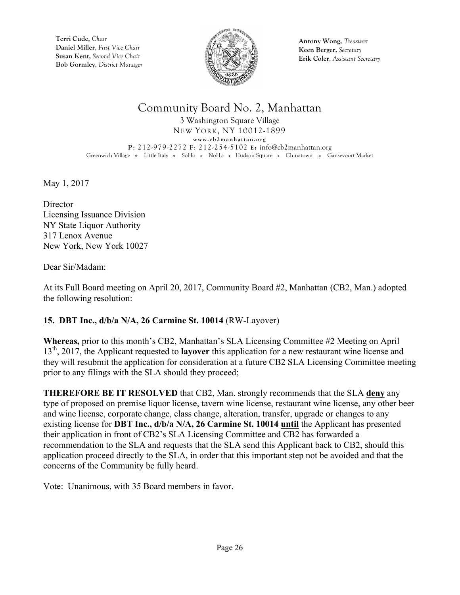

**Antony Wong,** *Treasurer* **Keen Berger,** *Secretary* **Erik Coler**, *Assistant Secretary*

# Community Board No. 2, Manhattan

3 Washington Square Village NEW YORK, NY 10012-1899 **www.cb2manhattan.org P**: 212-979-2272 **F**: 212-254-5102 **E:** info@cb2manhattan.org Greenwich Village • Little Italy • SoHo • NoHo • Hudson Square • Chinatown • Gansevoort Market

May 1, 2017

**Director** Licensing Issuance Division NY State Liquor Authority 317 Lenox Avenue New York, New York 10027

Dear Sir/Madam:

At its Full Board meeting on April 20, 2017, Community Board #2, Manhattan (CB2, Man.) adopted the following resolution:

#### **15. DBT Inc., d/b/a N/A, 26 Carmine St. 10014** (RW-Layover)

**Whereas,** prior to this month's CB2, Manhattan's SLA Licensing Committee #2 Meeting on April 13th, 2017, the Applicant requested to **layover** this application for a new restaurant wine license and they will resubmit the application for consideration at a future CB2 SLA Licensing Committee meeting prior to any filings with the SLA should they proceed;

**THEREFORE BE IT RESOLVED** that CB2, Man. strongly recommends that the SLA **deny** any type of proposed on premise liquor license, tavern wine license, restaurant wine license, any other beer and wine license, corporate change, class change, alteration, transfer, upgrade or changes to any existing license for **DBT Inc., d/b/a N/A, 26 Carmine St. 10014 until** the Applicant has presented their application in front of CB2's SLA Licensing Committee and CB2 has forwarded a recommendation to the SLA and requests that the SLA send this Applicant back to CB2, should this application proceed directly to the SLA, in order that this important step not be avoided and that the concerns of the Community be fully heard.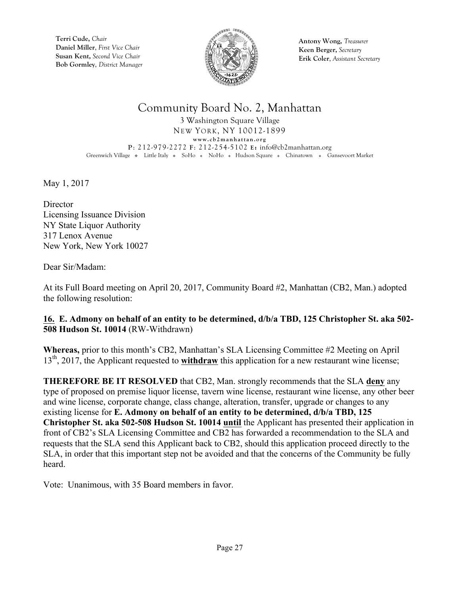

**Antony Wong,** *Treasurer* **Keen Berger,** *Secretary* **Erik Coler**, *Assistant Secretary*

# Community Board No. 2, Manhattan

3 Washington Square Village NEW YORK, NY 10012-1899 **www.cb2manhattan.org P**: 212-979-2272 **F**: 212-254-5102 **E:** info@cb2manhattan.org Greenwich Village • Little Italy • SoHo • NoHo • Hudson Square • Chinatown • Gansevoort Market

May 1, 2017

**Director** Licensing Issuance Division NY State Liquor Authority 317 Lenox Avenue New York, New York 10027

Dear Sir/Madam:

At its Full Board meeting on April 20, 2017, Community Board #2, Manhattan (CB2, Man.) adopted the following resolution:

#### **16. E. Admony on behalf of an entity to be determined, d/b/a TBD, 125 Christopher St. aka 502- 508 Hudson St. 10014** (RW-Withdrawn)

**Whereas,** prior to this month's CB2, Manhattan's SLA Licensing Committee #2 Meeting on April 13th, 2017, the Applicant requested to **withdraw** this application for a new restaurant wine license;

**THEREFORE BE IT RESOLVED** that CB2, Man. strongly recommends that the SLA **deny** any type of proposed on premise liquor license, tavern wine license, restaurant wine license, any other beer and wine license, corporate change, class change, alteration, transfer, upgrade or changes to any existing license for **E. Admony on behalf of an entity to be determined, d/b/a TBD, 125 Christopher St. aka 502-508 Hudson St. 10014 until** the Applicant has presented their application in front of CB2's SLA Licensing Committee and CB2 has forwarded a recommendation to the SLA and requests that the SLA send this Applicant back to CB2, should this application proceed directly to the SLA, in order that this important step not be avoided and that the concerns of the Community be fully heard.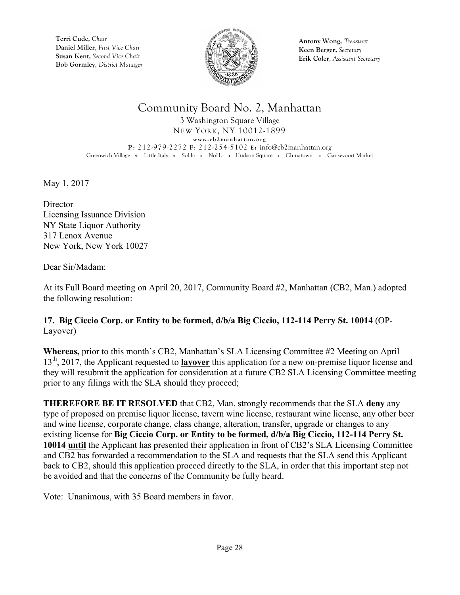

**Antony Wong,** *Treasurer* **Keen Berger,** *Secretary* **Erik Coler**, *Assistant Secretary*

## Community Board No. 2, Manhattan

3 Washington Square Village NEW YORK, NY 10012-1899 **www.cb2manhattan.org P**: 212-979-2272 **F**: 212-254-5102 **E:** info@cb2manhattan.org Greenwich Village • Little Italy • SoHo • NoHo • Hudson Square • Chinatown • Gansevoort Market

May 1, 2017

**Director** Licensing Issuance Division NY State Liquor Authority 317 Lenox Avenue New York, New York 10027

Dear Sir/Madam:

At its Full Board meeting on April 20, 2017, Community Board #2, Manhattan (CB2, Man.) adopted the following resolution:

#### **17. Big Ciccio Corp. or Entity to be formed, d/b/a Big Ciccio, 112-114 Perry St. 10014** (OP-Layover)

**Whereas,** prior to this month's CB2, Manhattan's SLA Licensing Committee #2 Meeting on April 13th, 2017, the Applicant requested to **layover** this application for a new on-premise liquor license and they will resubmit the application for consideration at a future CB2 SLA Licensing Committee meeting prior to any filings with the SLA should they proceed;

**THEREFORE BE IT RESOLVED** that CB2, Man. strongly recommends that the SLA **deny** any type of proposed on premise liquor license, tavern wine license, restaurant wine license, any other beer and wine license, corporate change, class change, alteration, transfer, upgrade or changes to any existing license for **Big Ciccio Corp. or Entity to be formed, d/b/a Big Ciccio, 112-114 Perry St. 10014 until** the Applicant has presented their application in front of CB2's SLA Licensing Committee and CB2 has forwarded a recommendation to the SLA and requests that the SLA send this Applicant back to CB2, should this application proceed directly to the SLA, in order that this important step not be avoided and that the concerns of the Community be fully heard.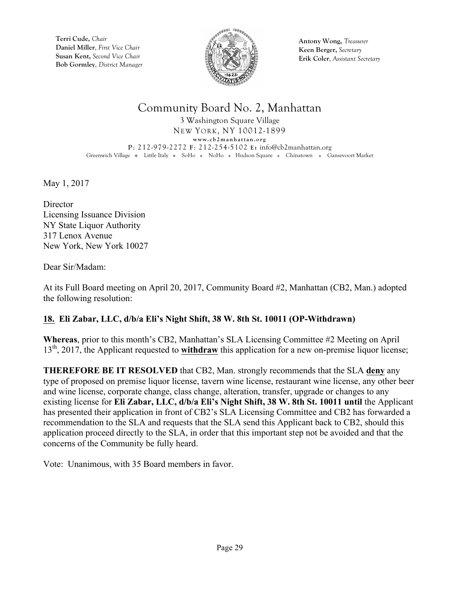

**Antony Wong,** *Treasurer* **Keen Berger,** *Secretary* **Erik Coler**, *Assistant Secretary*

# Community Board No. 2, Manhattan

3 Washington Square Village NEW YORK, NY 10012-1899 **www.cb2manhattan.org P**: 212-979-2272 **F**: 212-254-5102 **E:** info@cb2manhattan.org Greenwich Village • Little Italy • SoHo • NoHo • Hudson Square • Chinatown • Gansevoort Market

May 1, 2017

**Director** Licensing Issuance Division NY State Liquor Authority 317 Lenox Avenue New York, New York 10027

Dear Sir/Madam:

At its Full Board meeting on April 20, 2017, Community Board #2, Manhattan (CB2, Man.) adopted the following resolution:

#### **18. Eli Zabar, LLC, d/b/a Eli's Night Shift, 38 W. 8th St. 10011 (OP-Withdrawn)**

**Whereas**, prior to this month's CB2, Manhattan's SLA Licensing Committee #2 Meeting on April 13<sup>th</sup>, 2017, the Applicant requested to **withdraw** this application for a new on-premise liquor license;

**THEREFORE BE IT RESOLVED** that CB2, Man. strongly recommends that the SLA **deny** any type of proposed on premise liquor license, tavern wine license, restaurant wine license, any other beer and wine license, corporate change, class change, alteration, transfer, upgrade or changes to any existing license for **Eli Zabar, LLC, d/b/a Eli's Night Shift, 38 W. 8th St. 10011 until** the Applicant has presented their application in front of CB2's SLA Licensing Committee and CB2 has forwarded a recommendation to the SLA and requests that the SLA send this Applicant back to CB2, should this application proceed directly to the SLA, in order that this important step not be avoided and that the concerns of the Community be fully heard.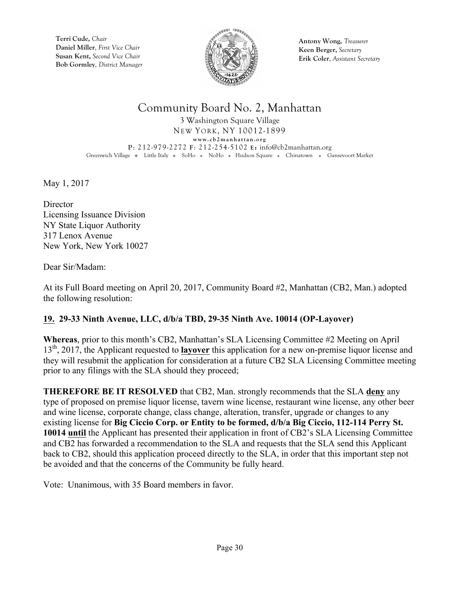

**Antony Wong,** *Treasurer* **Keen Berger,** *Secretary* **Erik Coler**, *Assistant Secretary*

## Community Board No. 2, Manhattan

3 Washington Square Village NEW YORK, NY 10012-1899 **www.cb2manhattan.org P**: 212-979-2272 **F**: 212-254-5102 **E:** info@cb2manhattan.org Greenwich Village • Little Italy • SoHo • NoHo • Hudson Square • Chinatown • Gansevoort Market

May 1, 2017

**Director** Licensing Issuance Division NY State Liquor Authority 317 Lenox Avenue New York, New York 10027

Dear Sir/Madam:

At its Full Board meeting on April 20, 2017, Community Board #2, Manhattan (CB2, Man.) adopted the following resolution:

#### **19. 29-33 Ninth Avenue, LLC, d/b/a TBD, 29-35 Ninth Ave. 10014 (OP-Layover)**

**Whereas**, prior to this month's CB2, Manhattan's SLA Licensing Committee #2 Meeting on April 13th, 2017, the Applicant requested to **layover** this application for a new on-premise liquor license and they will resubmit the application for consideration at a future CB2 SLA Licensing Committee meeting prior to any filings with the SLA should they proceed;

**THEREFORE BE IT RESOLVED** that CB2, Man. strongly recommends that the SLA **deny** any type of proposed on premise liquor license, tavern wine license, restaurant wine license, any other beer and wine license, corporate change, class change, alteration, transfer, upgrade or changes to any existing license for **Big Ciccio Corp. or Entity to be formed, d/b/a Big Ciccio, 112-114 Perry St. 10014 until** the Applicant has presented their application in front of CB2's SLA Licensing Committee and CB2 has forwarded a recommendation to the SLA and requests that the SLA send this Applicant back to CB2, should this application proceed directly to the SLA, in order that this important step not be avoided and that the concerns of the Community be fully heard.